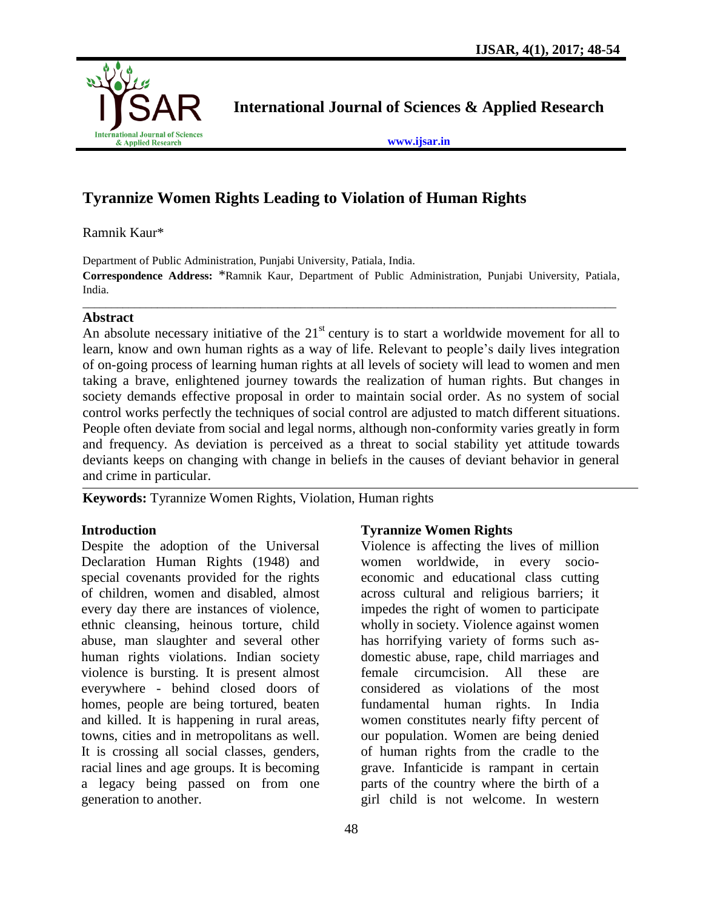

**International Journal of Sciences & Applied Research**

**[www.ijsar.in](http://www.ijsar.in/)**

# **Tyrannize Women Rights Leading to Violation of Human Rights**

Ramnik Kaur\*

Department of Public Administration, Punjabi University, Patiala, India.

**Correspondence Address:** \*Ramnik Kaur, Department of Public Administration, Punjabi University, Patiala, India. \_\_\_\_\_\_\_\_\_\_\_\_\_\_\_\_\_\_\_\_\_\_\_\_\_\_\_\_\_\_\_\_\_\_\_\_\_\_\_\_\_\_\_\_\_\_\_\_\_\_\_\_\_\_\_\_\_\_\_\_\_\_\_\_\_\_\_\_\_\_\_\_\_\_\_\_\_\_\_\_\_\_\_\_\_\_\_\_\_\_\_\_\_

## **Abstract**

An absolute necessary initiative of the  $21<sup>st</sup>$  century is to start a worldwide movement for all to learn, know and own human rights as a way of life. Relevant to people's daily lives integration of on-going process of learning human rights at all levels of society will lead to women and men taking a brave, enlightened journey towards the realization of human rights. But changes in society demands effective proposal in order to maintain social order. As no system of social control works perfectly the techniques of social control are adjusted to match different situations. People often deviate from social and legal norms, although non-conformity varies greatly in form and frequency. As deviation is perceived as a threat to social stability yet attitude towards deviants keeps on changing with change in beliefs in the causes of deviant behavior in general and crime in particular.

**Keywords:** Tyrannize Women Rights, Violation, Human rights

## **Introduction**

Despite the adoption of the Universal Declaration Human Rights (1948) and special covenants provided for the rights of children, women and disabled, almost every day there are instances of violence, ethnic cleansing, heinous torture, child abuse, man slaughter and several other human rights violations. Indian society violence is bursting. It is present almost everywhere - behind closed doors of homes, people are being tortured, beaten and killed. It is happening in rural areas, towns, cities and in metropolitans as well. It is crossing all social classes, genders, racial lines and age groups. It is becoming a legacy being passed on from one generation to another.

## **Tyrannize Women Rights**

Violence is affecting the lives of million women worldwide, in every socioeconomic and educational class cutting across cultural and religious barriers; it impedes the right of women to participate wholly in society. Violence against women has horrifying variety of forms such asdomestic abuse, rape, child marriages and female circumcision. All these are considered as violations of the most fundamental human rights. In India women constitutes nearly fifty percent of our population. Women are being denied of human rights from the cradle to the grave. Infanticide is rampant in certain parts of the country where the birth of a girl child is not welcome. In western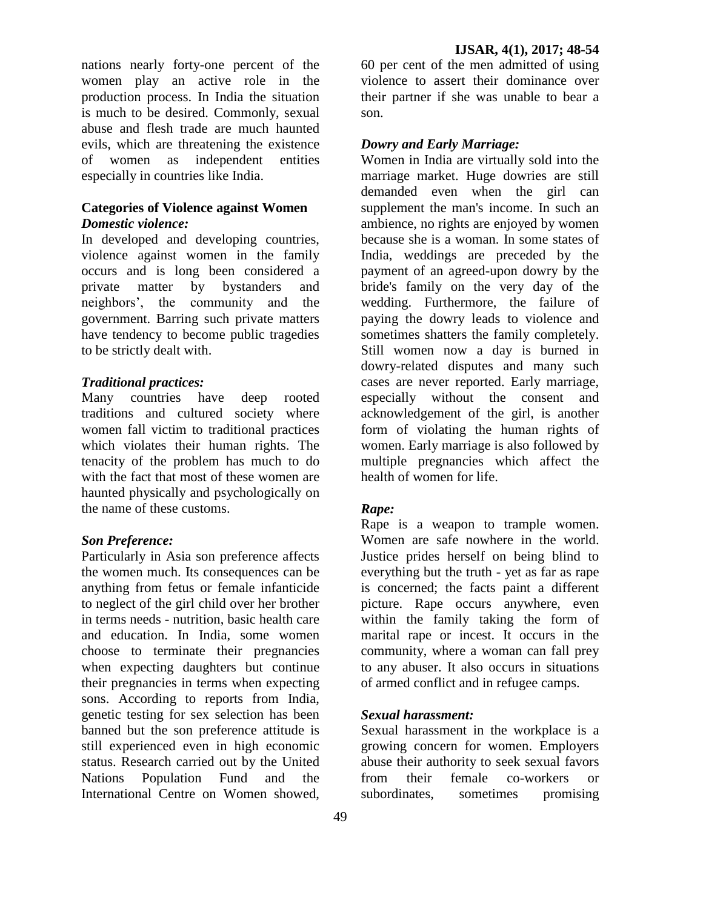nations nearly forty-one percent of the women play an active role in the production process. In India the situation is much to be desired. Commonly, sexual abuse and flesh trade are much haunted evils, which are threatening the existence of women as independent entities especially in countries like India.

### **Categories of Violence against Women** *Domestic violence:*

In developed and developing countries, violence against women in the family occurs and is long been considered a private matter by bystanders and neighbors', the community and the government. Barring such private matters have tendency to become public tragedies to be strictly dealt with.

#### *Traditional practices:*

Many countries have deep rooted traditions and cultured society where women fall victim to traditional practices which violates their human rights. The tenacity of the problem has much to do with the fact that most of these women are haunted physically and psychologically on the name of these customs.

## *Son Preference:*

Particularly in Asia son preference affects the women much. Its consequences can be anything from fetus or female infanticide to neglect of the girl child over her brother in terms needs - nutrition, basic health care and education. In India, some women choose to terminate their pregnancies when expecting daughters but continue their pregnancies in terms when expecting sons. According to reports from India, genetic testing for sex selection has been banned but the son preference attitude is still experienced even in high economic status. Research carried out by the United Nations Population Fund and the International Centre on Women showed,

60 per cent of the men admitted of using violence to assert their dominance over their partner if she was unable to bear a son.

## *Dowry and Early Marriage:*

Women in India are virtually sold into the marriage market. Huge dowries are still demanded even when the girl can supplement the man's income. In such an ambience, no rights are enjoyed by women because she is a woman. In some states of India, weddings are preceded by the payment of an agreed-upon dowry by the bride's family on the very day of the wedding. Furthermore, the failure of paying the dowry leads to violence and sometimes shatters the family completely. Still women now a day is burned in dowry-related disputes and many such cases are never reported. Early marriage, especially without the consent and acknowledgement of the girl, is another form of violating the human rights of women. Early marriage is also followed by multiple pregnancies which affect the health of women for life.

## *Rape:*

Rape is a weapon to trample women. Women are safe nowhere in the world. Justice prides herself on being blind to everything but the truth - yet as far as rape is concerned; the facts paint a different picture. Rape occurs anywhere, even within the family taking the form of marital rape or incest. It occurs in the community, where a woman can fall prey to any abuser. It also occurs in situations of armed conflict and in refugee camps.

## *Sexual harassment:*

Sexual harassment in the workplace is a growing concern for women. Employers abuse their authority to seek sexual favors from their female co-workers or subordinates, sometimes promising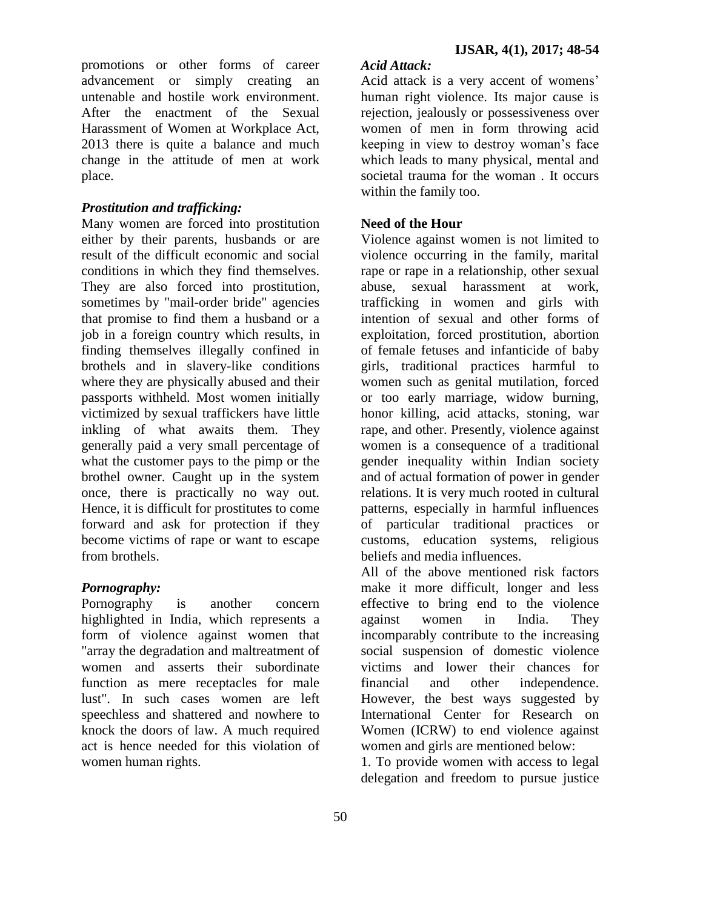promotions or other forms of career advancement or simply creating an untenable and hostile work environment. After the enactment of the Sexual Harassment of Women at Workplace Act, 2013 there is quite a balance and much change in the attitude of men at work place.

## *Prostitution and trafficking:*

Many women are forced into prostitution either by their parents, husbands or are result of the difficult economic and social conditions in which they find themselves. They are also forced into prostitution, sometimes by "mail-order bride" agencies that promise to find them a husband or a job in a foreign country which results, in finding themselves illegally confined in brothels and in slavery-like conditions where they are physically abused and their passports withheld. Most women initially victimized by sexual traffickers have little inkling of what awaits them. They generally paid a very small percentage of what the customer pays to the pimp or the brothel owner. Caught up in the system once, there is practically no way out. Hence, it is difficult for prostitutes to come forward and ask for protection if they become victims of rape or want to escape from brothels.

## *Pornography:*

Pornography is another concern highlighted in India, which represents a form of violence against women that "array the degradation and maltreatment of women and asserts their subordinate function as mere receptacles for male lust". In such cases women are left speechless and shattered and nowhere to knock the doors of law. A much required act is hence needed for this violation of women human rights.

## *Acid Attack:*

Acid attack is a very accent of womens' human right violence. Its major cause is rejection, jealously or possessiveness over women of men in form throwing acid keeping in view to destroy woman's face which leads to many physical, mental and societal trauma for the woman . It occurs within the family too.

## **Need of the Hour**

Violence against women is not limited to violence occurring in the family, marital rape or rape in a relationship, other sexual abuse, sexual harassment at work, trafficking in women and girls with intention of sexual and other forms of exploitation, forced prostitution, abortion of female fetuses and infanticide of baby girls, traditional practices harmful to women such as genital mutilation, forced or too early marriage, widow burning, honor killing, acid attacks, stoning, war rape, and other. Presently, violence against women is a consequence of a traditional gender inequality within Indian society and of actual formation of power in gender relations. It is very much rooted in cultural patterns, especially in harmful influences of particular traditional practices or customs, education systems, religious beliefs and media influences.

All of the above mentioned risk factors make it more difficult, longer and less effective to bring end to the violence against women in India. They incomparably contribute to the increasing social suspension of domestic violence victims and lower their chances for financial and other independence. However, the best ways suggested by International Center for Research on Women (ICRW) to end violence against women and girls are mentioned below:

1. To provide women with access to legal delegation and freedom to pursue justice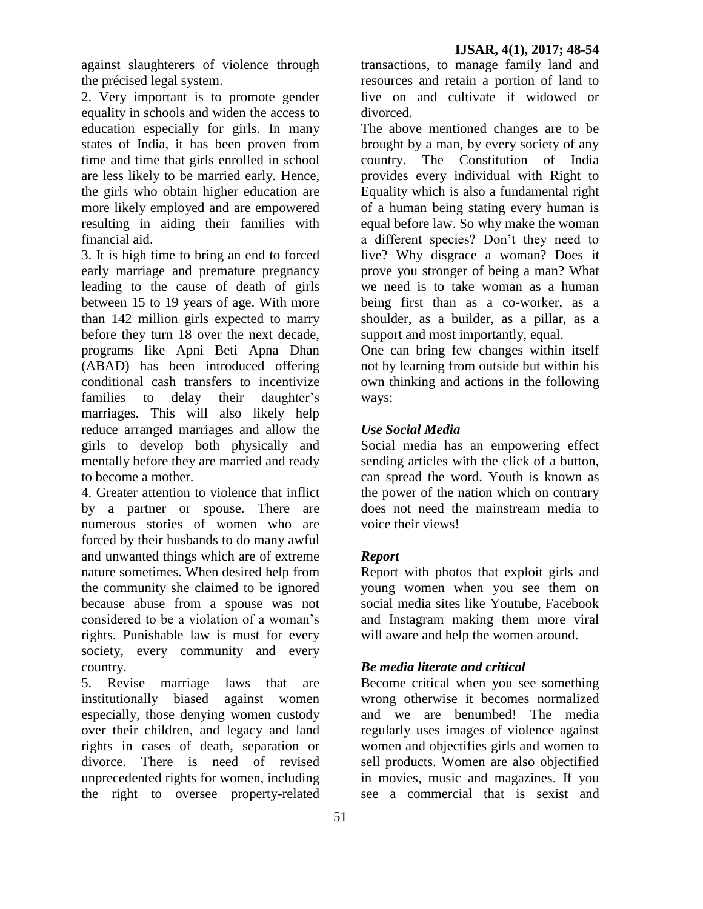against slaughterers of violence through the précised legal system.

2. Very important is to promote gender equality in schools and widen the access to education especially for girls. In many states of India, it has been proven from time and time that girls enrolled in school are less likely to be married early. Hence, the girls who obtain higher education are more likely employed and are empowered resulting in aiding their families with financial aid.

3. It is high time to bring an end to forced early marriage and premature pregnancy leading to the cause of death of girls between 15 to 19 years of age. With more than 142 million girls expected to marry before they turn 18 over the next decade, programs like Apni Beti Apna Dhan (ABAD) has been introduced offering conditional cash transfers to incentivize families to delay their daughter's marriages. This will also likely help reduce arranged marriages and allow the girls to develop both physically and mentally before they are married and ready to become a mother.

4. Greater attention to violence that inflict by a partner or spouse. There are numerous stories of women who are forced by their husbands to do many awful and unwanted things which are of extreme nature sometimes. When desired help from the community she claimed to be ignored because abuse from a spouse was not considered to be a violation of a woman's rights. Punishable law is must for every society, every community and every country.

5. Revise marriage laws that are institutionally biased against women especially, those denying women custody over their children, and legacy and land rights in cases of death, separation or divorce. There is need of revised unprecedented rights for women, including the right to oversee property-related

transactions, to manage family land and resources and retain a portion of land to live on and cultivate if widowed or divorced.

The above mentioned changes are to be brought by a man, by every society of any country. The Constitution of India provides every individual with Right to Equality which is also a fundamental right of a human being stating every human is equal before law. So why make the woman a different species? Don't they need to live? Why disgrace a woman? Does it prove you stronger of being a man? What we need is to take woman as a human being first than as a co-worker, as a shoulder, as a builder, as a pillar, as a support and most importantly, equal.

One can bring few changes within itself not by learning from outside but within his own thinking and actions in the following ways:

## *Use Social Media*

Social media has an empowering effect sending articles with the click of a button, can spread the word. Youth is known as the power of the nation which on contrary does not need the mainstream media to voice their views!

## *Report*

Report with photos that exploit girls and young women when you see them on social media sites like Youtube, Facebook and Instagram making them more viral will aware and help the women around.

## *Be media literate and critical*

Become critical when you see something wrong otherwise it becomes normalized and we are benumbed! The media regularly uses images of violence against women and objectifies girls and women to sell products. Women are also objectified in movies, music and magazines. If you see a commercial that is sexist and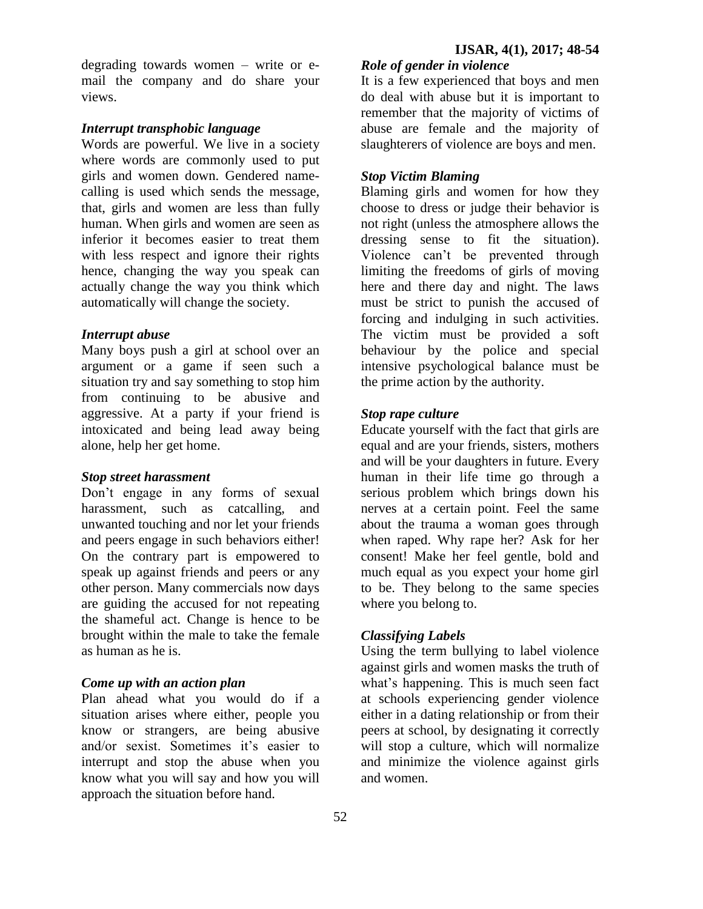degrading towards women – write or email the company and do share your views.

### *Interrupt transphobic language*

Words are powerful. We live in a society where words are commonly used to put girls and women down. Gendered namecalling is used which sends the message, that, girls and women are less than fully human. When girls and women are seen as inferior it becomes easier to treat them with less respect and ignore their rights hence, changing the way you speak can actually change the way you think which automatically will change the society.

### *Interrupt abuse*

Many boys push a girl at school over an argument or a game if seen such a situation try and say something to stop him from continuing to be abusive and aggressive. At a party if your friend is intoxicated and being lead away being alone, help her get home.

#### *Stop street harassment*

Don't engage in any forms of sexual harassment, such as catcalling, and unwanted touching and nor let your friends and peers engage in such behaviors either! On the contrary part is empowered to speak up against friends and peers or any other person. Many commercials now days are guiding the accused for not repeating the shameful act. Change is hence to be brought within the male to take the female as human as he is.

#### *Come up with an action plan*

Plan ahead what you would do if a situation arises where either, people you know or strangers, are being abusive and/or sexist. Sometimes it's easier to interrupt and stop the abuse when you know what you will say and how you will approach the situation before hand.

### *Role of gender in violence*

It is a few experienced that boys and men do deal with abuse but it is important to remember that the majority of victims of abuse are female and the majority of slaughterers of violence are boys and men.

#### *Stop Victim Blaming*

Blaming girls and women for how they choose to dress or judge their behavior is not right (unless the atmosphere allows the dressing sense to fit the situation). Violence can't be prevented through limiting the freedoms of girls of moving here and there day and night. The laws must be strict to punish the accused of forcing and indulging in such activities. The victim must be provided a soft behaviour by the police and special intensive psychological balance must be the prime action by the authority.

#### *Stop rape culture*

Educate yourself with the fact that girls are equal and are your friends, sisters, mothers and will be your daughters in future. Every human in their life time go through a serious problem which brings down his nerves at a certain point. Feel the same about the trauma a woman goes through when raped. Why rape her? Ask for her consent! Make her feel gentle, bold and much equal as you expect your home girl to be. They belong to the same species where you belong to.

#### *Classifying Labels*

Using the term bullying to label violence against girls and women masks the truth of what's happening. This is much seen fact at schools experiencing gender violence either in a dating relationship or from their peers at school, by designating it correctly will stop a culture, which will normalize and minimize the violence against girls and women.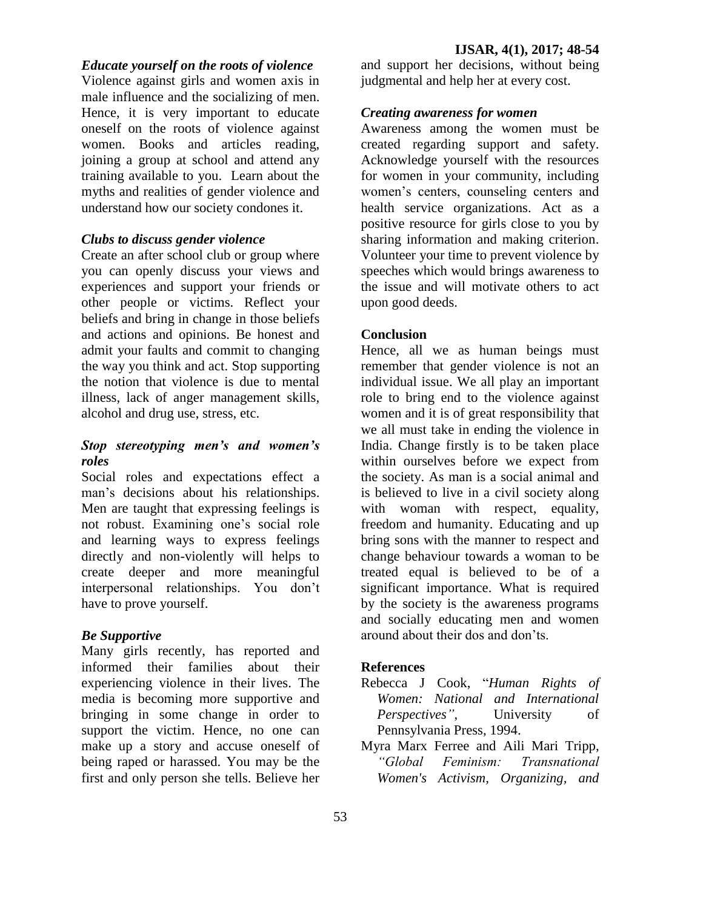#### *Educate yourself on the roots of violence*

Violence against girls and women axis in male influence and the socializing of men. Hence, it is very important to educate oneself on the roots of violence against women. Books and articles reading, joining a group at school and attend any training available to you. Learn about the myths and realities of gender violence and understand how our society condones it.

#### *Clubs to discuss gender violence*

Create an after school club or group where you can openly discuss your views and experiences and support your friends or other people or victims. Reflect your beliefs and bring in change in those beliefs and actions and opinions. Be honest and admit your faults and commit to changing the way you think and act. Stop supporting the notion that violence is due to mental illness, lack of anger management skills, alcohol and drug use, stress, etc.

#### *Stop stereotyping men's and women's roles*

Social roles and expectations effect a man's decisions about his relationships. Men are taught that expressing feelings is not robust. Examining one's social role and learning ways to express feelings directly and non-violently will helps to create deeper and more meaningful interpersonal relationships. You don't have to prove yourself.

#### *Be Supportive*

Many girls recently, has reported and informed their families about their experiencing violence in their lives. The media is becoming more supportive and bringing in some change in order to support the victim. Hence, no one can make up a story and accuse oneself of being raped or harassed. You may be the first and only person she tells. Believe her

and support her decisions, without being judgmental and help her at every cost.

#### *Creating awareness for women*

Awareness among the women must be created regarding support and safety. Acknowledge yourself with the resources for women in your community, including women's centers, counseling centers and health service organizations. Act as a positive resource for girls close to you by sharing information and making criterion. Volunteer your time to prevent violence by speeches which would brings awareness to the issue and will motivate others to act upon good deeds.

#### **Conclusion**

Hence, all we as human beings must remember that gender violence is not an individual issue. We all play an important role to bring end to the violence against women and it is of great responsibility that we all must take in ending the violence in India. Change firstly is to be taken place within ourselves before we expect from the society. As man is a social animal and is believed to live in a civil society along with woman with respect, equality, freedom and humanity. Educating and up bring sons with the manner to respect and change behaviour towards a woman to be treated equal is believed to be of a significant importance. What is required by the society is the awareness programs and socially educating men and women around about their dos and don'ts.

#### **References**

- Rebecca J Cook, "*Human Rights of Women: National and International Perspectives"*, University of Pennsylvania Press, 1994.
- Myra Marx Ferree and Aili Mari Tripp, *"Global Feminism: Transnational Women's Activism, Organizing, and*